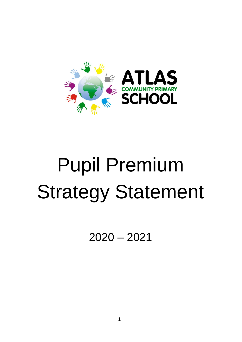

# Pupil Premium Strategy Statement

2020 – 2021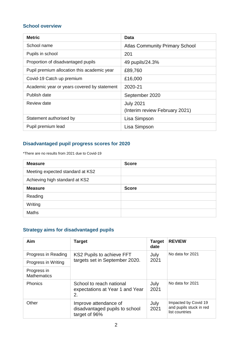#### **School overview**

| <b>Metric</b>                               | Data                                  |
|---------------------------------------------|---------------------------------------|
| School name                                 | <b>Atlas Community Primary School</b> |
| Pupils in school                            | 201                                   |
| Proportion of disadvantaged pupils          | 49 pupils/24.3%                       |
| Pupil premium allocation this academic year | £89,760                               |
| Covid-19 Catch up premium                   | £16,000                               |
| Academic year or years covered by statement | 2020-21                               |
| Publish date                                | September 2020                        |
| Review date                                 | <b>July 2021</b>                      |
|                                             | (Interim review February 2021)        |
| Statement authorised by                     | Lisa Simpson                          |
| Pupil premium lead                          | Lisa Simpson                          |

### **Disadvantaged pupil progress scores for 2020**

\*There are no results from 2021 due to Covid-19

| <b>Measure</b>                   | <b>Score</b> |
|----------------------------------|--------------|
| Meeting expected standard at KS2 |              |
| Achieving high standard at KS2   |              |
| <b>Measure</b>                   | <b>Score</b> |
| Reading                          |              |
| Writing                          |              |
| <b>Maths</b>                     |              |

## **Strategy aims for disadvantaged pupils**

| Aim                               | <b>Target</b>                                                            | <b>Target</b><br>date | <b>REVIEW</b>                                                     |
|-----------------------------------|--------------------------------------------------------------------------|-----------------------|-------------------------------------------------------------------|
| Progress in Reading               | KS2 Pupils to achieve FFT                                                | July                  | No data for 2021                                                  |
| Progress in Writing               | targets set in September 2020.                                           | 2021                  |                                                                   |
| Progress in<br><b>Mathematics</b> |                                                                          |                       |                                                                   |
| <b>Phonics</b>                    | School to reach national<br>expectations at Year 1 and Year<br>2.        | July<br>2021          | No data for 2021                                                  |
| Other                             | Improve attendance of<br>disadvantaged pupils to school<br>target of 96% | July<br>2021          | Impacted by Covid 19<br>and pupils stuck in red<br>list countries |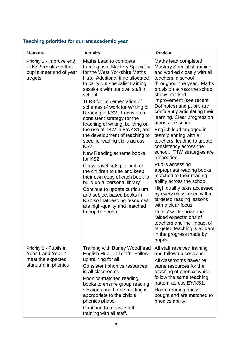# **Teaching priorities for current academic year**

| <b>Measure</b>                                                                           | <b>Activity</b>                                                                                                                                                                                                                                                                                                                                                                                                                                                                                                                                                                                                                                                                                                                                                                                                                  | <b>Review</b>                                                                                                                                                                                                                                                                                                                                                                                                                                                                                                                                                                                                                                                                                                                                                                                                                                                                             |
|------------------------------------------------------------------------------------------|----------------------------------------------------------------------------------------------------------------------------------------------------------------------------------------------------------------------------------------------------------------------------------------------------------------------------------------------------------------------------------------------------------------------------------------------------------------------------------------------------------------------------------------------------------------------------------------------------------------------------------------------------------------------------------------------------------------------------------------------------------------------------------------------------------------------------------|-------------------------------------------------------------------------------------------------------------------------------------------------------------------------------------------------------------------------------------------------------------------------------------------------------------------------------------------------------------------------------------------------------------------------------------------------------------------------------------------------------------------------------------------------------------------------------------------------------------------------------------------------------------------------------------------------------------------------------------------------------------------------------------------------------------------------------------------------------------------------------------------|
| Priority 1 - Improve end<br>of KS2 results so that<br>pupils meet end of year<br>targets | Maths Lead to complete<br>training as a Mastery Specialist<br>for the West Yorkshire Maths<br>Hub. Additional time allocated<br>to carry out specialist training<br>sessions with our own staff in<br>school<br>TLR3 for implementation of<br>schemes of work for Writing &<br>Reading in KS2. Focus on a<br>consistent strategy for the<br>teaching of writing, building on<br>the use of T4W in EY/KS1, and<br>the development of teaching to<br>specific reading skills across<br><b>KS2.</b><br>New Reading scheme books<br>for KS2.<br>Class novel sets per unit for<br>the children to use and keep<br>their own copy of each book to<br>build up a 'personal library'<br>Continue to update curriculum<br>and subject based books in<br>KS2 so that reading resources<br>are high-quality and matched<br>to pupils' needs | Maths lead completed<br><b>Mastery Specialist training</b><br>and worked closely with all<br>teachers in school<br>throughout the year. Maths<br>provision across the school<br>shows marked<br>improvement (see recent<br>Dol notes) and pupils are<br>confidently articulating their<br>learning. Clear progression<br>across the school.<br>English lead engaged in<br>team planning with all<br>teachers, leading to greater<br>consistency across the<br>school. T4W strategies are<br>embedded.<br>Pupils accessing<br>appropriate reading books<br>matched to their reading<br>ability across the school.<br>High quality texts accessed<br>by every class, used within<br>targeted reading lessons<br>with a clear focus.<br>Pupils' work shows the<br>raised expectations of<br>teachers and the impact of<br>targeted teaching is evident<br>in the progress made by<br>pupils. |
| Priority 2 - Pupils in<br>Year 1 and Year 2<br>meet the expected<br>standard in phonics  | <b>Training with Burley Woodhead</b><br>English Hub - all staff. Follow-<br>up training for all.<br>Consistent phonics resources<br>in all classrooms.<br>Phonics-matched reading<br>books to ensure group reading<br>sessions and home reading is<br>appropriate to the child's<br>phonics phase.<br>Continue to re-visit staff<br>training with all staff.                                                                                                                                                                                                                                                                                                                                                                                                                                                                     | All staff received training<br>and follow up sessions.<br>All classrooms have the<br>same resources for the<br>teaching of phonics which<br>follow the same teaching<br>pattern across EY/KS1.<br>Home reading books<br>bought and are matched to<br>phonics ability.                                                                                                                                                                                                                                                                                                                                                                                                                                                                                                                                                                                                                     |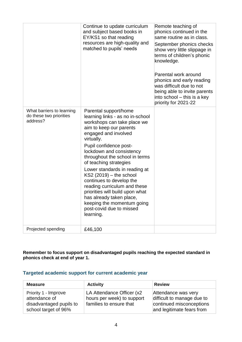|                                                                  | Continue to update curriculum<br>and subject based books in<br>EY/KS1 so that reading<br>resources are high-quality and<br>matched to pupils' needs                                                                                                                                                                                                                                                                                                                                                                                        | Remote teaching of<br>phonics continued in the<br>same routine as in class.<br>September phonics checks<br>show very little slippage in<br>terms of children's phonic<br>knowledge.<br>Parental work around<br>phonics and early reading<br>was difficult due to not<br>being able to invite parents<br>into school - this is a key<br>priority for 2021-22 |
|------------------------------------------------------------------|--------------------------------------------------------------------------------------------------------------------------------------------------------------------------------------------------------------------------------------------------------------------------------------------------------------------------------------------------------------------------------------------------------------------------------------------------------------------------------------------------------------------------------------------|-------------------------------------------------------------------------------------------------------------------------------------------------------------------------------------------------------------------------------------------------------------------------------------------------------------------------------------------------------------|
| What barriers to learning<br>do these two priorities<br>address? | Parental support/home<br>learning links - as no in-school<br>workshops can take place we<br>aim to keep our parents<br>engaged and involved<br>virtually.<br>Pupil confidence post-<br>lockdown and consistency<br>throughout the school in terms<br>of teaching strategies<br>Lower standards in reading at<br>$KS2(2019) -$ the school<br>continues to develop the<br>reading curriculum and these<br>priorities will build upon what<br>has already taken place,<br>keeping the momentum going<br>post-covid due to missed<br>learning. |                                                                                                                                                                                                                                                                                                                                                             |
| Projected spending                                               | £46,100                                                                                                                                                                                                                                                                                                                                                                                                                                                                                                                                    |                                                                                                                                                                                                                                                                                                                                                             |

**Remember to focus support on disadvantaged pupils reaching the expected standard in phonics check at end of year 1.**

#### **Targeted academic support for current academic year**

| <b>Measure</b>                                                                           | <b>Activity</b>                                                                    | <b>Review</b>                                                                                              |
|------------------------------------------------------------------------------------------|------------------------------------------------------------------------------------|------------------------------------------------------------------------------------------------------------|
| Priority 1 - Improve<br>attendance of<br>disadvantaged pupils to<br>school target of 96% | LA Attendance Officer (x2<br>hours per week) to support<br>families to ensure that | Attendance was very<br>difficult to manage due to<br>continued misconceptions<br>and legitimate fears from |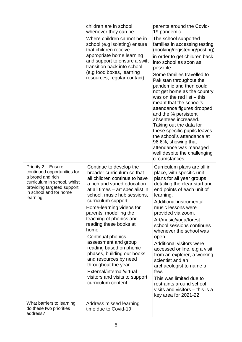|                                                                                                                                                                            | children are in school<br>whenever they can be.<br>Where children cannot be in<br>school (e.g isolating) ensure<br>that children receive<br>appropriate home learning<br>and support to ensure a swift<br>transition back into school<br>(e.g food boxes, learning<br>resources, regular contact)                                                                                                                                                                                                                                                                             | parents around the Covid-<br>19 pandemic.<br>The school supported<br>families in accessing testing<br>(booking/registering/posting)<br>in order to get children back<br>into school as soon as<br>possible.<br>Some families travelled to<br>Pakistan throughout the<br>pandemic and then could<br>not get home as the country<br>was on the red list - this<br>meant that the school's<br>attendance figures dropped<br>and the % persistent<br>absentees increased.<br>Taking out the data for<br>these specific pupils leaves<br>the school's attendance at<br>96.6%, showing that<br>attendance was managed<br>well despite the challenging<br>circumstances. |
|----------------------------------------------------------------------------------------------------------------------------------------------------------------------------|-------------------------------------------------------------------------------------------------------------------------------------------------------------------------------------------------------------------------------------------------------------------------------------------------------------------------------------------------------------------------------------------------------------------------------------------------------------------------------------------------------------------------------------------------------------------------------|-------------------------------------------------------------------------------------------------------------------------------------------------------------------------------------------------------------------------------------------------------------------------------------------------------------------------------------------------------------------------------------------------------------------------------------------------------------------------------------------------------------------------------------------------------------------------------------------------------------------------------------------------------------------|
| Priority 2 - Ensure<br>continued opportunities for<br>a broad and rich<br>curriculum in school, whilst<br>providing targeted support<br>in school and for home<br>learning | Continue to develop the<br>broader curriculum so that<br>all children continue to have<br>a rich and varied education<br>at all times - art specialist in<br>school, music hub sessions,<br>curriculum support<br>Home-learning videos for<br>parents, modelling the<br>teaching of phonics and<br>reading these books at<br>home.<br>Continual phonics<br>assessment and group<br>reading based on phonic<br>phases, building our books<br>and resources by need<br>throughout the year<br>External/internal/virtual<br>visitors and visits to support<br>curriculum content | Curriculum plans are all in<br>place, with specific unit<br>plans for all year groups<br>detailing the clear start and<br>end points of each unit of<br>learning.<br>Additional instrumental<br>music lessons were<br>provided via zoom.<br>Art/music/yoga/forest<br>school sessions continues<br>whenever the school was<br>open<br><b>Additional visitors were</b><br>accessed online, e.g a visit<br>from an explorer, a working<br>scientist and an<br>archaeologist to name a<br>few.<br>This was limited due to<br>restraints around school<br>visits and visitors – this is a<br>key area for 2021-22                                                      |
| What barriers to learning<br>do these two priorities<br>address?                                                                                                           | Address missed learning<br>time due to Covid-19                                                                                                                                                                                                                                                                                                                                                                                                                                                                                                                               |                                                                                                                                                                                                                                                                                                                                                                                                                                                                                                                                                                                                                                                                   |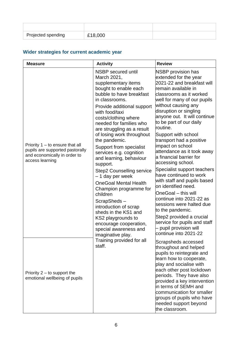| Projected spending | £18,000 |  |
|--------------------|---------|--|

# **Wider strategies for current academic year**

| <b>Measure</b>                                                                                                          | <b>Activity</b>                                                                                                                                                                                                                                                                                                                                                                                                                                                                                                                                                                                                                                                                                  | <b>Review</b>                                                                                                                                                                                                                                                                                                                                                                                                                                                                                                                                                                                                                                                                                                                                                                 |
|-------------------------------------------------------------------------------------------------------------------------|--------------------------------------------------------------------------------------------------------------------------------------------------------------------------------------------------------------------------------------------------------------------------------------------------------------------------------------------------------------------------------------------------------------------------------------------------------------------------------------------------------------------------------------------------------------------------------------------------------------------------------------------------------------------------------------------------|-------------------------------------------------------------------------------------------------------------------------------------------------------------------------------------------------------------------------------------------------------------------------------------------------------------------------------------------------------------------------------------------------------------------------------------------------------------------------------------------------------------------------------------------------------------------------------------------------------------------------------------------------------------------------------------------------------------------------------------------------------------------------------|
| Priority $1 -$ to ensure that all<br>pupils are supported pastorally<br>and economically in order to<br>access learning | NSBP secured until<br>March 2021,<br>supplementary items<br>bought to enable each<br>bubble to have breakfast<br>in classrooms.<br>Provide additional support<br>with food/taxi<br>costs/clothing where<br>needed for families who<br>are struggling as a result<br>of losing work throughout<br>the pandemic.<br>Support from specialist<br>services e.g. cognition<br>and learning, behaviour<br>support.<br>Step2 Counselling service<br>- 1 day per week<br><b>OneGoal Mental Health</b><br>Champion programme for<br>children<br>ScrapSheds-<br>introduction of scrap<br>sheds in the KS1 and<br>KS2 playgrounds to<br>encourage cooperation,<br>special awareness and<br>imaginative play. | <b>NSBP</b> provision has<br>extended for the year<br>2021-22 and breakfast will<br>remain available in<br>classrooms as it worked<br>well for many of our pupils<br>without causing any<br>disruption or singling<br>anyone out. It will continue<br>to be part of our daily<br>routine.<br>Support with school<br>transport had a positive<br>impact on school<br>attendance as it took away<br>a financial barrier for<br>accessing school.<br>Specialist support teachers<br>have continued to work<br>with staff and pupils based<br>on identified need.<br>OneGoal - this will<br>continue into 2021-22 as<br>sessions were halted due<br>to the pandemic.<br>Step2 provided a crucial<br>service for pupils and staff<br>pupil provision will<br>continue into 2021-22 |
| Priority $2 -$ to support the<br>emotional wellbeing of pupils                                                          | Training provided for all<br>staff.                                                                                                                                                                                                                                                                                                                                                                                                                                                                                                                                                                                                                                                              | Scrapsheds accessed<br>throughout and helped<br>pupils to reintegrate and<br>learn how to cooperate,<br>play and socialise with<br>each other post lockdown<br>periods. They have also<br>provided a key intervention<br>in terms of SEMH and<br>communication for smaller<br>groups of pupils who have<br>needed support beyond<br>the classroom.                                                                                                                                                                                                                                                                                                                                                                                                                            |